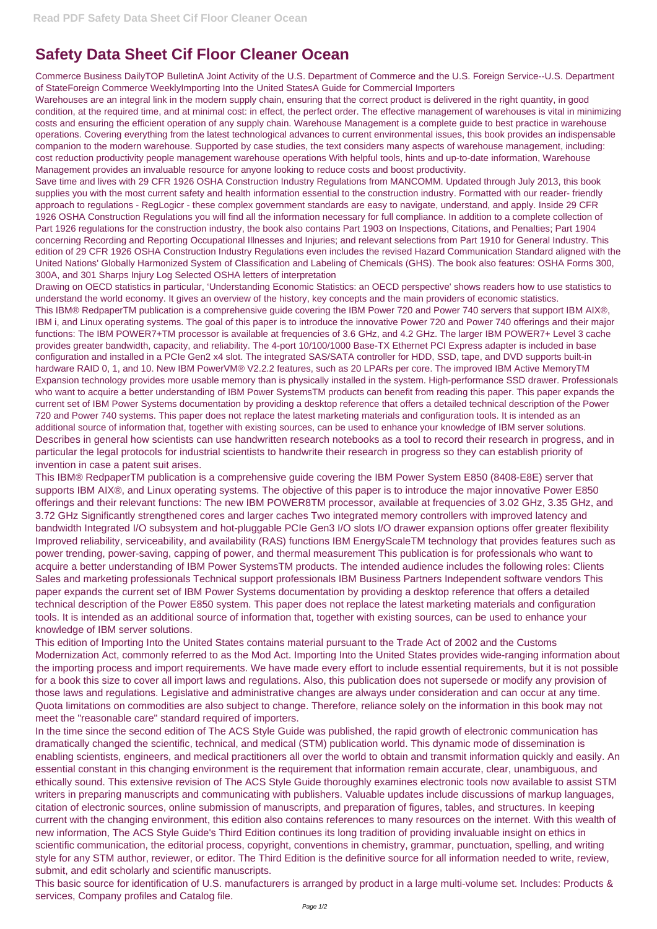## **Safety Data Sheet Cif Floor Cleaner Ocean**

Commerce Business DailyTOP BulletinA Joint Activity of the U.S. Department of Commerce and the U.S. Foreign Service--U.S. Department of StateForeign Commerce WeeklyImporting Into the United StatesA Guide for Commercial Importers

Warehouses are an integral link in the modern supply chain, ensuring that the correct product is delivered in the right quantity, in good condition, at the required time, and at minimal cost: in effect, the perfect order. The effective management of warehouses is vital in minimizing costs and ensuring the efficient operation of any supply chain. Warehouse Management is a complete guide to best practice in warehouse operations. Covering everything from the latest technological advances to current environmental issues, this book provides an indispensable companion to the modern warehouse. Supported by case studies, the text considers many aspects of warehouse management, including: cost reduction productivity people management warehouse operations With helpful tools, hints and up-to-date information, Warehouse Management provides an invaluable resource for anyone looking to reduce costs and boost productivity.

Save time and lives with 29 CFR 1926 OSHA Construction Industry Regulations from MANCOMM. Updated through July 2013, this book supplies you with the most current safety and health information essential to the construction industry. Formatted with our reader- friendly approach to regulations - RegLogicr - these complex government standards are easy to navigate, understand, and apply. Inside 29 CFR 1926 OSHA Construction Regulations you will find all the information necessary for full compliance. In addition to a complete collection of Part 1926 regulations for the construction industry, the book also contains Part 1903 on Inspections, Citations, and Penalties; Part 1904 concerning Recording and Reporting Occupational Illnesses and Injuries; and relevant selections from Part 1910 for General Industry. This edition of 29 CFR 1926 OSHA Construction Industry Regulations even includes the revised Hazard Communication Standard aligned with the United Nations' Globally Harmonized System of Classification and Labeling of Chemicals (GHS). The book also features: OSHA Forms 300, 300A, and 301 Sharps Injury Log Selected OSHA letters of interpretation

Drawing on OECD statistics in particular, 'Understanding Economic Statistics: an OECD perspective' shows readers how to use statistics to understand the world economy. It gives an overview of the history, key concepts and the main providers of economic statistics.

This IBM® RedpaperTM publication is a comprehensive guide covering the IBM Power 720 and Power 740 servers that support IBM AIX®, IBM i, and Linux operating systems. The goal of this paper is to introduce the innovative Power 720 and Power 740 offerings and their major functions: The IBM POWER7+TM processor is available at frequencies of 3.6 GHz, and 4.2 GHz. The larger IBM POWER7+ Level 3 cache provides greater bandwidth, capacity, and reliability. The 4-port 10/100/1000 Base-TX Ethernet PCI Express adapter is included in base configuration and installed in a PCIe Gen2 x4 slot. The integrated SAS/SATA controller for HDD, SSD, tape, and DVD supports built-in hardware RAID 0, 1, and 10. New IBM PowerVM® V2.2.2 features, such as 20 LPARs per core. The improved IBM Active MemoryTM Expansion technology provides more usable memory than is physically installed in the system. High-performance SSD drawer. Professionals who want to acquire a better understanding of IBM Power SystemsTM products can benefit from reading this paper. This paper expands the current set of IBM Power Systems documentation by providing a desktop reference that offers a detailed technical description of the Power 720 and Power 740 systems. This paper does not replace the latest marketing materials and configuration tools. It is intended as an additional source of information that, together with existing sources, can be used to enhance your knowledge of IBM server solutions. Describes in general how scientists can use handwritten research notebooks as a tool to record their research in progress, and in particular the legal protocols for industrial scientists to handwrite their research in progress so they can establish priority of invention in case a patent suit arises.

This IBM® RedpaperTM publication is a comprehensive guide covering the IBM Power System E850 (8408-E8E) server that supports IBM AIX®, and Linux operating systems. The objective of this paper is to introduce the major innovative Power E850 offerings and their relevant functions: The new IBM POWER8TM processor, available at frequencies of 3.02 GHz, 3.35 GHz, and 3.72 GHz Significantly strengthened cores and larger caches Two integrated memory controllers with improved latency and bandwidth Integrated I/O subsystem and hot-pluggable PCIe Gen3 I/O slots I/O drawer expansion options offer greater flexibility Improved reliability, serviceability, and availability (RAS) functions IBM EnergyScaleTM technology that provides features such as power trending, power-saving, capping of power, and thermal measurement This publication is for professionals who want to acquire a better understanding of IBM Power SystemsTM products. The intended audience includes the following roles: Clients Sales and marketing professionals Technical support professionals IBM Business Partners Independent software vendors This paper expands the current set of IBM Power Systems documentation by providing a desktop reference that offers a detailed technical description of the Power E850 system. This paper does not replace the latest marketing materials and configuration tools. It is intended as an additional source of information that, together with existing sources, can be used to enhance your knowledge of IBM server solutions.

This edition of Importing Into the United States contains material pursuant to the Trade Act of 2002 and the Customs Modernization Act, commonly referred to as the Mod Act. Importing Into the United States provides wide-ranging information about the importing process and import requirements. We have made every effort to include essential requirements, but it is not possible for a book this size to cover all import laws and regulations. Also, this publication does not supersede or modify any provision of those laws and regulations. Legislative and administrative changes are always under consideration and can occur at any time.

Quota limitations on commodities are also subject to change. Therefore, reliance solely on the information in this book may not meet the "reasonable care" standard required of importers.

In the time since the second edition of The ACS Style Guide was published, the rapid growth of electronic communication has dramatically changed the scientific, technical, and medical (STM) publication world. This dynamic mode of dissemination is enabling scientists, engineers, and medical practitioners all over the world to obtain and transmit information quickly and easily. An essential constant in this changing environment is the requirement that information remain accurate, clear, unambiguous, and ethically sound. This extensive revision of The ACS Style Guide thoroughly examines electronic tools now available to assist STM writers in preparing manuscripts and communicating with publishers. Valuable updates include discussions of markup languages, citation of electronic sources, online submission of manuscripts, and preparation of figures, tables, and structures. In keeping current with the changing environment, this edition also contains references to many resources on the internet. With this wealth of new information, The ACS Style Guide's Third Edition continues its long tradition of providing invaluable insight on ethics in scientific communication, the editorial process, copyright, conventions in chemistry, grammar, punctuation, spelling, and writing style for any STM author, reviewer, or editor. The Third Edition is the definitive source for all information needed to write, review, submit, and edit scholarly and scientific manuscripts.

This basic source for identification of U.S. manufacturers is arranged by product in a large multi-volume set. Includes: Products & services, Company profiles and Catalog file.